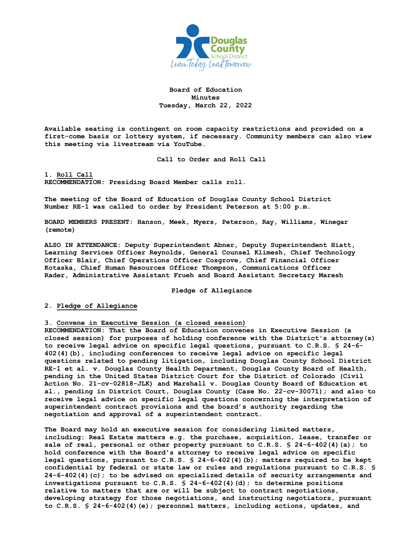

**Board of Education Minutes Tuesday, March 22, 2022**

**Available seating is contingent on room capacity restrictions and provided on a first-come basis or lottery system, if necessary. Community members can also view this meeting via livestream via YouTube.** 

**Call to Order and Roll Call**

**1. Roll Call RECOMMENDATION: Presiding Board Member calls roll.** 

**The meeting of the Board of Education of Douglas County School District Number RE-1 was called to order by President Peterson at 5:00 p.m.**

**BOARD MEMBERS PRESENT: Hanson, Meek, Myers, Peterson, Ray, Williams, Winegar (remote)**

**ALSO IN ATTENDANCE: Deputy Superintendent Abner, Deputy Superintendent Hiatt, Learning Services Officer Reynolds, General Counsel Klimesh, Chief Technology Officer Blair, Chief Operations Officer Cosgrove, Chief Financial Officer Kotaska, Chief Human Resources Officer Thompson, Communications Officer Rader, Administrative Assistant Frueh and Board Assistant Secretary Maresh**

**Pledge of Allegiance**

## **2. Pledge of Allegiance**

**3. Convene in Executive Session (a closed session)**

**RECOMMENDATION: That the Board of Education convenes in Executive Session (a closed session) for purposes of holding conference with the District's attorney(s) to receive legal advice on specific legal questions, pursuant to C.R.S. § 24-6- 402(4)(b), including conferences to receive legal advice on specific legal questions related to pending litigation, including Douglas County School District RE-1 et al. v. Douglas County Health Department, Douglas County Board of Health, pending in the United States District Court for the District of Colorado (Civil Action No. 21-cv-02818-JLK) and Marshall v. Douglas County Board of Education et al., pending in District Court, Douglas County (Case No. 22-cv-30071); and also to receive legal advice on specific legal questions concerning the interpretation of superintendent contract provisions and the board's authority regarding the negotiation and approval of a superintendent contract.** 

**The Board may hold an executive session for considering limited matters, including: Real Estate matters e.g. the purchase, acquisition, lease, transfer or sale of real, personal or other property pursuant to C.R.S. § 24-6-402(4)(a); to hold conference with the Board's attorney to receive legal advice on specific legal questions, pursuant to C.R.S. § 24-6-402(4)(b); matters required to be kept confidential by federal or state law or rules and regulations pursuant to C.R.S. § 24-6-402(4)(c); to be advised on specialized details of security arrangements and investigations pursuant to C.R.S. § 24-6-402(4)(d); to determine positions relative to matters that are or will be subject to contract negotiations, developing strategy for those negotiations, and instructing negotiators, pursuant to C.R.S. § 24-6-402(4)(e); personnel matters, including actions, updates, and**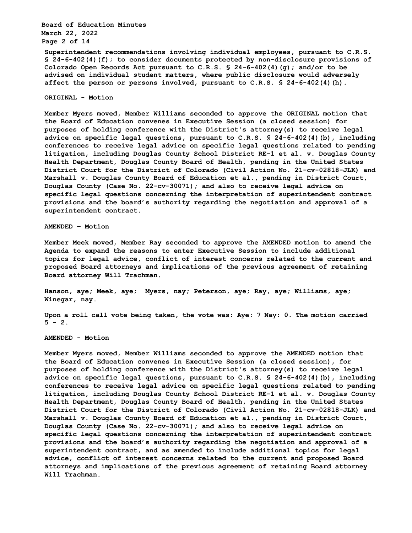**Board of Education Minutes March 22, 2022 Page 2 of 14**

**Superintendent recommendations involving individual employees, pursuant to C.R.S. § 24-6-402(4)(f); to consider documents protected by non-disclosure provisions of Colorado Open Records Act pursuant to C.R.S. § 24-6-402(4)(g); and/or to be advised on individual student matters, where public disclosure would adversely affect the person or persons involved, pursuant to C.R.S. § 24-6-402(4)(h).** 

#### **ORIGINAL - Motion**

**Member Myers moved, Member Williams seconded to approve the ORIGINAL motion that the Board of Education convenes in Executive Session (a closed session) for purposes of holding conference with the District's attorney(s) to receive legal advice on specific legal questions, pursuant to C.R.S. § 24-6-402(4)(b), including conferences to receive legal advice on specific legal questions related to pending litigation, including Douglas County School District RE-1 et al. v. Douglas County Health Department, Douglas County Board of Health, pending in the United States District Court for the District of Colorado (Civil Action No. 21-cv-02818-JLK) and Marshall v. Douglas County Board of Education et al., pending in District Court, Douglas County (Case No. 22-cv-30071); and also to receive legal advice on specific legal questions concerning the interpretation of superintendent contract provisions and the board's authority regarding the negotiation and approval of a superintendent contract.** 

**AMENDED – Motion**

**Member Meek moved, Member Ray seconded to approve the AMENDED motion to amend the Agenda to expand the reasons to enter Executive Session to include additional topics for legal advice, conflict of interest concerns related to the current and proposed Board attorneys and implications of the previous agreement of retaining Board attorney Will Trachman.**

**Hanson, aye; Meek, aye; Myers, nay; Peterson, aye; Ray, aye; Williams, aye; Winegar, nay.**

**Upon a roll call vote being taken, the vote was: Aye: 7 Nay: 0. The motion carried**  $5 - 2$ .

**AMENDED - Motion** 

**Member Myers moved, Member Williams seconded to approve the AMENDED motion that the Board of Education convenes in Executive Session (a closed session), for purposes of holding conference with the District's attorney(s) to receive legal advice on specific legal questions, pursuant to C.R.S. § 24-6-402(4)(b), including conferences to receive legal advice on specific legal questions related to pending litigation, including Douglas County School District RE-1 et al. v. Douglas County Health Department, Douglas County Board of Health, pending in the United States District Court for the District of Colorado (Civil Action No. 21-cv-02818-JLK) and Marshall v. Douglas County Board of Education et al., pending in District Court, Douglas County (Case No. 22-cv-30071); and also to receive legal advice on specific legal questions concerning the interpretation of superintendent contract provisions and the board's authority regarding the negotiation and approval of a superintendent contract, and as amended to include additional topics for legal advice, conflict of interest concerns related to the current and proposed Board attorneys and implications of the previous agreement of retaining Board attorney Will Trachman.**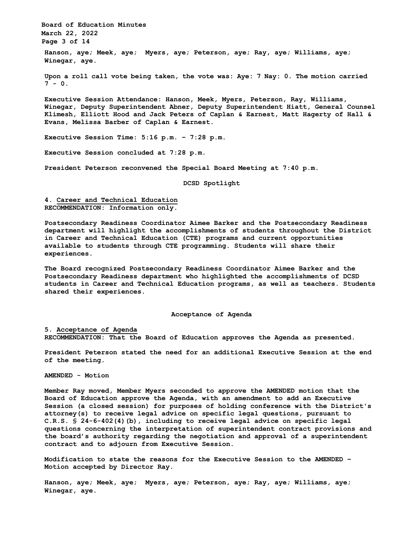**Board of Education Minutes March 22, 2022 Page 3 of 14 Hanson, aye; Meek, aye; Myers, aye; Peterson, aye; Ray, aye; Williams, aye; Winegar, aye.**

**Upon a roll call vote being taken, the vote was: Aye: 7 Nay: 0. The motion carried**  $7 - 0.$ 

**Executive Session Attendance: Hanson, Meek, Myers, Peterson, Ray, Williams, Winegar, Deputy Superintendent Abner, Deputy Superintendent Hiatt, General Counsel Klimesh, Elliott Hood and Jack Peters of Caplan & Earnest, Matt Hagerty of Hall & Evans, Melissa Barber of Caplan & Earnest.**

**Executive Session Time: 5:16 p.m. – 7:28 p.m.**

**Executive Session concluded at 7:28 p.m.**

**President Peterson reconvened the Special Board Meeting at 7:40 p.m.**

**DCSD Spotlight**

## **4. Career and Technical Education RECOMMENDATION: Information only.**

**Postsecondary Readiness Coordinator Aimee Barker and the Postsecondary Readiness department will highlight the accomplishments of students throughout the District in Career and Technical Education (CTE) programs and current opportunities available to students through CTE programming. Students will share their experiences.** 

**The Board recognized Postsecondary Readiness Coordinator Aimee Barker and the Postsecondary Readiness department who highlighted the accomplishments of DCSD students in Career and Technical Education programs, as well as teachers. Students shared their experiences.**

#### **Acceptance of Agenda**

**5. Acceptance of Agenda RECOMMENDATION: That the Board of Education approves the Agenda as presented.** 

**President Peterson stated the need for an additional Executive Session at the end of the meeting.**

**AMENDED - Motion** 

**Member Ray moved, Member Myers seconded to approve the AMENDED motion that the Board of Education approve the Agenda, with an amendment to add an Executive Session (a closed session) for purposes of holding conference with the District's attorney(s) to receive legal advice on specific legal questions, pursuant to C.R.S. § 24-6-402(4)(b), including to receive legal advice on specific legal questions concerning the interpretation of superintendent contract provisions and the board's authority regarding the negotiation and approval of a superintendent contract and to adjourn from Executive Session.**

**Modification to state the reasons for the Executive Session to the AMENDED – Motion accepted by Director Ray.**

**Hanson, aye; Meek, aye; Myers, aye; Peterson, aye; Ray, aye; Williams, aye; Winegar, aye.**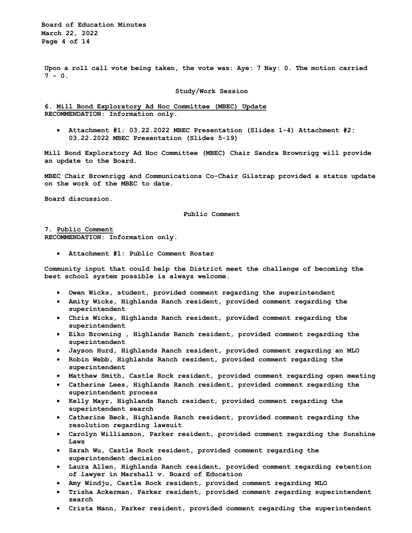**Board of Education Minutes March 22, 2022 Page 4 of 14**

**Upon a roll call vote being taken, the vote was: Aye: 7 Nay: 0. The motion carried 7 - 0.**

#### **Study/Work Session**

**6. Mill Bond Exploratory Ad Hoc Committee (MBEC) Update RECOMMENDATION: Information only.** 

• **Attachment #1: 03.22.2022 MBEC Presentation (Slides 1-4) Attachment #2: 03.22.2022 MBEC Presentation (Slides 5-19)** 

**Mill Bond Exploratory Ad Hoc Committee (MBEC) Chair Sandra Brownrigg will provide an update to the Board.** 

**MBEC Chair Brownrigg and Communications Co-Chair Gilstrap provided a status update on the work of the MBEC to date.**

**Board discussion.**

**Public Comment**

**7. Public Comment RECOMMENDATION: Information only.** 

• **Attachment #1: Public Comment Roster** 

**Community input that could help the District meet the challenge of becoming the best school system possible is always welcome.** 

- **Owen Wicks, student, provided comment regarding the superintendent**
- **Amity Wicks, Highlands Ranch resident, provided comment regarding the superintendent**
- **Chris Wicks, Highlands Ranch resident, provided comment regarding the superintendent**
- **Eiko Browning , Highlands Ranch resident, provided comment regarding the superintendent**
- **Jayson Hurd, Highlands Ranch resident, provided comment regarding an MLO**
- **Robin Webb, Highlands Ranch resident, provided comment regarding the superintendent**
- **Matthew Smith, Castle Rock resident, provided comment regarding open meeting**
- **Catherine Lees, Highlands Ranch resident, provided comment regarding the superintendent process**
- **Kelly Mayr, Highlands Ranch resident, provided comment regarding the superintendent search**
- **Catherine Beck, Highlands Ranch resident, provided comment regarding the resolution regarding lawsuit**
- **Carolyn Williamson, Parker resident, provided comment regarding the Sunshine Laws**
- **Sarah Wu, Castle Rock resident, provided comment regarding the superintendent decision**
- **Laura Allen, Highlands Ranch resident, provided comment regarding retention of lawyer in Marshall v. Board of Education**
- **Amy Windju, Castle Rock resident, provided comment regarding MLO**
- **Trisha Ackerman, Parker resident, provided comment regarding superintendent search**
- **Crista Mann, Parker resident, provided comment regarding the superintendent**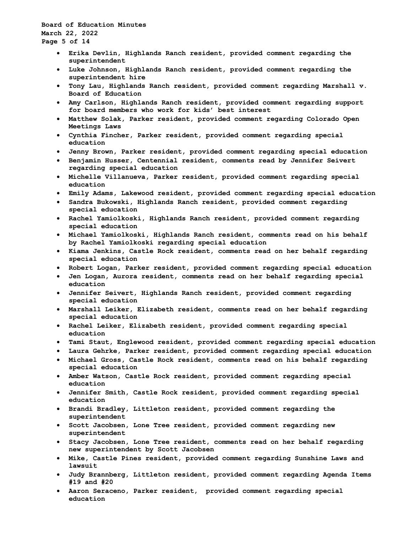**Board of Education Minutes March 22, 2022 Page 5 of 14**

- **Erika Devlin, Highlands Ranch resident, provided comment regarding the superintendent**
- **Luke Johnson, Highlands Ranch resident, provided comment regarding the superintendent hire**
- **Tony Lau, Highlands Ranch resident, provided comment regarding Marshall v. Board of Education**
- **Amy Carlson, Highlands Ranch resident, provided comment regarding support for board members who work for kids' best interest**
- **Matthew Solak, Parker resident, provided comment regarding Colorado Open Meetings Laws**
- **Cynthia Fincher, Parker resident, provided comment regarding special education**
- **Jenny Brown, Parker resident, provided comment regarding special education**
- **Benjamin Husser, Centennial resident, comments read by Jennifer Seivert regarding special education**
- **Michelle Villanueva, Parker resident, provided comment regarding special education**
- **Emily Adams, Lakewood resident, provided comment regarding special education**
- **Sandra Bukowski, Highlands Ranch resident, provided comment regarding special education**
- **Rachel Yamiolkoski, Highlands Ranch resident, provided comment regarding special education**
- **Michael Yamiolkoski, Highlands Ranch resident, comments read on his behalf by Rachel Yamiolkoski regarding special education**
- **Kiama Jenkins, Castle Rock resident, comments read on her behalf regarding special education**
- **Robert Logan, Parker resident, provided comment regarding special education**
- **Jen Logan, Aurora resident, comments read on her behalf regarding special education**
- **Jennifer Seivert, Highlands Ranch resident, provided comment regarding special education**
- **Marshall Leiker, Elizabeth resident, comments read on her behalf regarding special education**
- **Rachel Leiker, Elizabeth resident, provided comment regarding special education**
- **Tami Staut, Englewood resident, provided comment regarding special education**
- **Laura Gehrke, Parker resident, provided comment regarding special education**
- **Michael Gross, Castle Rock resident, comments read on his behalf regarding special education**
- **Amber Watson, Castle Rock resident, provided comment regarding special education**
- **Jennifer Smith, Castle Rock resident, provided comment regarding special education**
- **Brandi Bradley, Littleton resident, provided comment regarding the superintendent**
- **Scott Jacobsen, Lone Tree resident, provided comment regarding new superintendent**
- **Stacy Jacobsen, Lone Tree resident, comments read on her behalf regarding new superintendent by Scott Jacobsen**
- **Mike, Castle Pines resident, provided comment regarding Sunshine Laws and lawsuit**
- **Judy Brannberg, Littleton resident, provided comment regarding Agenda Items #19 and #20**
- **Aaron Seraceno, Parker resident, provided comment regarding special education**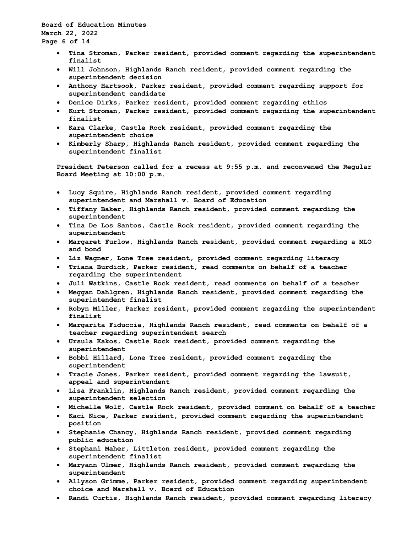**Board of Education Minutes March 22, 2022 Page 6 of 14**

- **Tina Stroman, Parker resident, provided comment regarding the superintendent finalist**
- **Will Johnson, Highlands Ranch resident, provided comment regarding the superintendent decision**
- **Anthony Hartsook, Parker resident, provided comment regarding support for superintendent candidate**
- **Denice Dirks, Parker resident, provided comment regarding ethics**
- **Kurt Stroman, Parker resident, provided comment regarding the superintendent finalist**
- **Kara Clarke, Castle Rock resident, provided comment regarding the superintendent choice**
- **Kimberly Sharp, Highlands Ranch resident, provided comment regarding the superintendent finalist**

**President Peterson called for a recess at 9:55 p.m. and reconvened the Regular Board Meeting at 10:00 p.m.**

- **Lucy Squire, Highlands Ranch resident, provided comment regarding superintendent and Marshall v. Board of Education**
- **Tiffany Baker, Highlands Ranch resident, provided comment regarding the superintendent**
- **Tina De Los Santos, Castle Rock resident, provided comment regarding the superintendent**
- **Margaret Furlow, Highlands Ranch resident, provided comment regarding a MLO and bond**
- **Liz Wagner, Lone Tree resident, provided comment regarding literacy**
- **Triana Burdick, Parker resident, read comments on behalf of a teacher regarding the superintendent**
- **Juli Watkins, Castle Rock resident, read comments on behalf of a teacher**
- **Meggan Dahlgren, Highlands Ranch resident, provided comment regarding the superintendent finalist**
- **Robyn Miller, Parker resident, provided comment regarding the superintendent finalist**
- **Margarita Fiduccia, Highlands Ranch resident, read comments on behalf of a teacher regarding superintendent search**
- **Ursula Kakos, Castle Rock resident, provided comment regarding the superintendent**
- **Bobbi Hillard, Lone Tree resident, provided comment regarding the superintendent**
- **Tracie Jones, Parker resident, provided comment regarding the lawsuit, appeal and superintendent**
- **Lisa Franklin, Highlands Ranch resident, provided comment regarding the superintendent selection**
- **Michelle Wolf, Castle Rock resident, provided comment on behalf of a teacher**
- **Kaci Nice, Parker resident, provided comment regarding the superintendent position**
- **Stephanie Chancy, Highlands Ranch resident, provided comment regarding public education**
- **Stephani Maher, Littleton resident, provided comment regarding the superintendent finalist**
- **Maryann Ulmer, Highlands Ranch resident, provided comment regarding the superintendent**
- **Allyson Grimme, Parker resident, provided comment regarding superintendent choice and Marshall v. Board of Education**
- **Randi Curtis, Highlands Ranch resident, provided comment regarding literacy**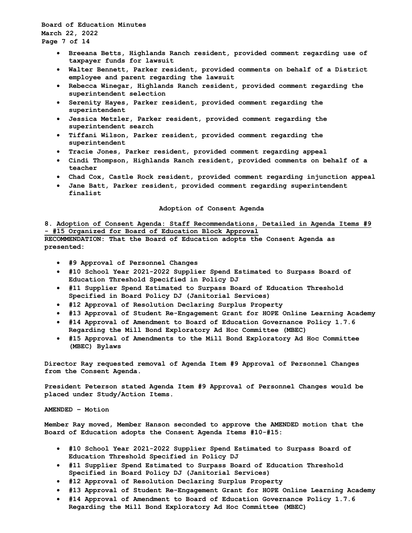**Board of Education Minutes March 22, 2022 Page 7 of 14**

- **Breeana Betts, Highlands Ranch resident, provided comment regarding use of taxpayer funds for lawsuit**
- **Walter Bennett, Parker resident, provided comments on behalf of a District employee and parent regarding the lawsuit**
- **Rebecca Winegar, Highlands Ranch resident, provided comment regarding the superintendent selection**
- **Serenity Hayes, Parker resident, provided comment regarding the superintendent**
- **Jessica Metzler, Parker resident, provided comment regarding the superintendent search**
- **Tiffani Wilson, Parker resident, provided comment regarding the superintendent**
- **Tracie Jones, Parker resident, provided comment regarding appeal**
- **Cindi Thompson, Highlands Ranch resident, provided comments on behalf of a teacher**
- **Chad Cox, Castle Rock resident, provided comment regarding injunction appeal**
- **Jane Batt, Parker resident, provided comment regarding superintendent finalist**

## **Adoption of Consent Agenda**

**8. Adoption of Consent Agenda: Staff Recommendations, Detailed in Agenda Items #9 - #15 Organized for Board of Education Block Approval**

**RECOMMENDATION: That the Board of Education adopts the Consent Agenda as presented:** 

- **#9 Approval of Personnel Changes**
- **#10 School Year 2021-2022 Supplier Spend Estimated to Surpass Board of Education Threshold Specified in Policy DJ**
- **#11 Supplier Spend Estimated to Surpass Board of Education Threshold Specified in Board Policy DJ (Janitorial Services)**
- **#12 Approval of Resolution Declaring Surplus Property**
- **#13 Approval of Student Re-Engagement Grant for HOPE Online Learning Academy**
- **#14 Approval of Amendment to Board of Education Governance Policy 1.7.6 Regarding the Mill Bond Exploratory Ad Hoc Committee (MBEC)**
- **#15 Approval of Amendments to the Mill Bond Exploratory Ad Hoc Committee (MBEC) Bylaws**

**Director Ray requested removal of Agenda Item #9 Approval of Personnel Changes from the Consent Agenda.**

**President Peterson stated Agenda Item #9 Approval of Personnel Changes would be placed under Study/Action Items.**

**AMENDED – Motion**

**Member Ray moved, Member Hanson seconded to approve the AMENDED motion that the Board of Education adopts the Consent Agenda Items #10-#15:**

- **#10 School Year 2021-2022 Supplier Spend Estimated to Surpass Board of Education Threshold Specified in Policy DJ**
- **#11 Supplier Spend Estimated to Surpass Board of Education Threshold Specified in Board Policy DJ (Janitorial Services)**
- **#12 Approval of Resolution Declaring Surplus Property**
- **#13 Approval of Student Re-Engagement Grant for HOPE Online Learning Academy**
- **#14 Approval of Amendment to Board of Education Governance Policy 1.7.6 Regarding the Mill Bond Exploratory Ad Hoc Committee (MBEC)**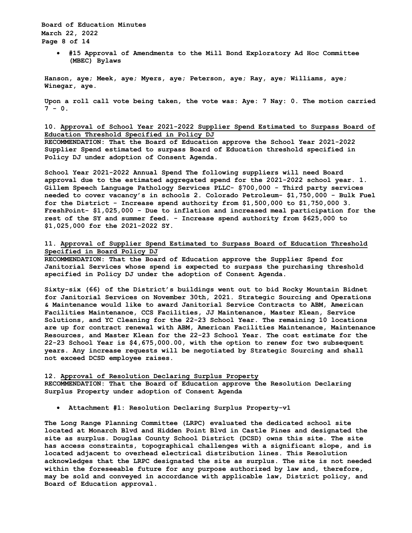**Board of Education Minutes March 22, 2022 Page 8 of 14**

> • **#15 Approval of Amendments to the Mill Bond Exploratory Ad Hoc Committee (MBEC) Bylaws**

**Hanson, aye; Meek, aye; Myers, aye; Peterson, aye; Ray, aye; Williams, aye; Winegar, aye.** 

**Upon a roll call vote being taken, the vote was: Aye: 7 Nay: 0. The motion carried 7 - 0.**

# **10. Approval of School Year 2021-2022 Supplier Spend Estimated to Surpass Board of Education Threshold Specified in Policy DJ**

**RECOMMENDATION: That the Board of Education approve the School Year 2021-2022 Supplier Spend estimated to surpass Board of Education threshold specified in Policy DJ under adoption of Consent Agenda.** 

**School Year 2021-2022 Annual Spend The following suppliers will need Board approval due to the estimated aggregated spend for the 2021-2022 school year. 1. Gillem Speech Language Pathology Services PLLC- \$700,000 - Third party services needed to cover vacancy's in schools 2. Colorado Petroleum- \$1,750,000 - Bulk Fuel for the District - Increase spend authority from \$1,500,000 to \$1,750,000 3. FreshPoint- \$1,025,000 - Due to inflation and increased meal participation for the rest of the SY and summer feed. - Increase spend authority from \$625,000 to \$1,025,000 for the 2021-2022 SY.** 

**11. Approval of Supplier Spend Estimated to Surpass Board of Education Threshold Specified in Board Policy DJ**

**RECOMMENDATION: That the Board of Education approve the Supplier Spend for Janitorial Services whose spend is expected to surpass the purchasing threshold specified in Policy DJ under the adoption of Consent Agenda.** 

**Sixty-six (66) of the District's buildings went out to bid Rocky Mountain Bidnet for Janitorial Services on November 30th, 2021. Strategic Sourcing and Operations & Maintenance would like to award Janitorial Service Contracts to ABM, American Facilities Maintenance, CCS Facilities, JJ Maintenance, Master Klean, Service Solutions, and YC Cleaning for the 22-23 School Year. The remaining 10 locations are up for contract renewal with ABM, American Facilities Maintenance, Maintenance Resources, and Master Klean for the 22-23 School Year. The cost estimate for the 22-23 School Year is \$4,675,000.00, with the option to renew for two subsequent years. Any increase requests will be negotiated by Strategic Sourcing and shall not exceed DCSD employee raises.** 

# **12. Approval of Resolution Declaring Surplus Property RECOMMENDATION: That the Board of Education approve the Resolution Declaring Surplus Property under adoption of Consent Agenda**

• **Attachment #1: Resolution Declaring Surplus Property-v1** 

**The Long Range Planning Committee (LRPC) evaluated the dedicated school site located at Monarch Blvd and Hidden Point Blvd in Castle Pines and designated the site as surplus. Douglas County School District (DCSD) owns this site. The site has access constraints, topographical challenges with a significant slope, and is located adjacent to overhead electrical distribution lines. This Resolution acknowledges that the LRPC designated the site as surplus. The site is not needed within the foreseeable future for any purpose authorized by law and, therefore, may be sold and conveyed in accordance with applicable law, District policy, and Board of Education approval.**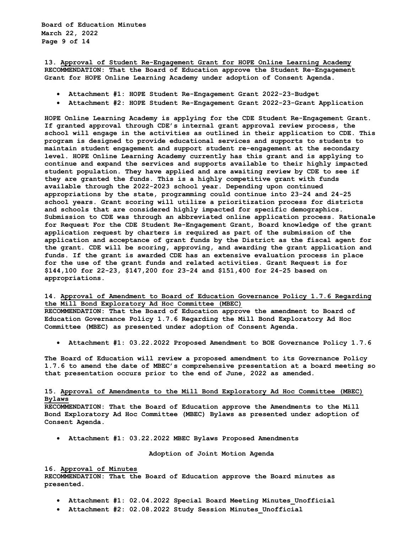**13. Approval of Student Re-Engagement Grant for HOPE Online Learning Academy RECOMMENDATION: That the Board of Education approve the Student Re-Engagement Grant for HOPE Online Learning Academy under adoption of Consent Agenda.** 

- **Attachment #1: HOPE Student Re-Engagement Grant 2022-23-Budget**
- **Attachment #2: HOPE Student Re-Engagement Grant 2022-23-Grant Application**

**HOPE Online Learning Academy is applying for the CDE Student Re-Engagement Grant. If granted approval through CDE's internal grant approval review process, the school will engage in the activities as outlined in their application to CDE. This program is designed to provide educational services and supports to students to maintain student engagement and support student re-engagement at the secondary level. HOPE Online Learning Academy currently has this grant and is applying to continue and expand the services and supports available to their highly impacted student population. They have applied and are awaiting review by CDE to see if they are granted the funds. This is a highly competitive grant with funds available through the 2022-2023 school year. Depending upon continued appropriations by the state, programming could continue into 23-24 and 24-25 school years. Grant scoring will utilize a prioritization process for districts and schools that are considered highly impacted for specific demographics. Submission to CDE was through an abbreviated online application process. Rationale for Request For the CDE Student Re-Engagement Grant, Board knowledge of the grant application request by charters is required as part of the submission of the application and acceptance of grant funds by the District as the fiscal agent for the grant. CDE will be scoring, approving, and awarding the grant application and funds. If the grant is awarded CDE has an extensive evaluation process in place for the use of the grant funds and related activities. Grant Request is for \$144,100 for 22-23, \$147,200 for 23-24 and \$151,400 for 24-25 based on appropriations.** 

## **14. Approval of Amendment to Board of Education Governance Policy 1.7.6 Regarding the Mill Bond Exploratory Ad Hoc Committee (MBEC)**

**RECOMMENDATION: That the Board of Education approve the amendment to Board of Education Governance Policy 1.7.6 Regarding the Mill Bond Exploratory Ad Hoc Committee (MBEC) as presented under adoption of Consent Agenda.** 

• **Attachment #1: 03.22.2022 Proposed Amendment to BOE Governance Policy 1.7.6** 

**The Board of Education will review a proposed amendment to its Governance Policy 1.7.6 to amend the date of MBEC's comprehensive presentation at a board meeting so that presentation occurs prior to the end of June, 2022 as amended.** 

# **15. Approval of Amendments to the Mill Bond Exploratory Ad Hoc Committee (MBEC) Bylaws**

**RECOMMENDATION: That the Board of Education approve the Amendments to the Mill Bond Exploratory Ad Hoc Committee (MBEC) Bylaws as presented under adoption of Consent Agenda.** 

• **Attachment #1: 03.22.2022 MBEC Bylaws Proposed Amendments** 

#### **Adoption of Joint Motion Agenda**

#### **16. Approval of Minutes**

**RECOMMENDATION: That the Board of Education approve the Board minutes as presented.** 

- **Attachment #1: 02.04.2022 Special Board Meeting Minutes\_Unofficial**
- **Attachment #2: 02.08.2022 Study Session Minutes\_Unofficial**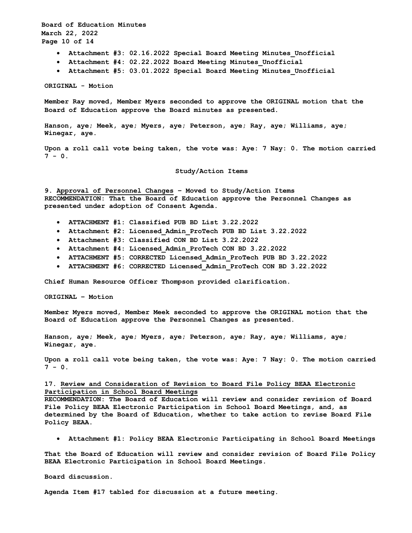**Board of Education Minutes March 22, 2022 Page 10 of 14**

- **Attachment #3: 02.16.2022 Special Board Meeting Minutes\_Unofficial**
- **Attachment #4: 02.22.2022 Board Meeting Minutes\_Unofficial**
- **Attachment #5: 03.01.2022 Special Board Meeting Minutes\_Unofficial**

**ORIGINAL - Motion** 

**Member Ray moved, Member Myers seconded to approve the ORIGINAL motion that the Board of Education approve the Board minutes as presented.** 

**Hanson, aye; Meek, aye; Myers, aye; Peterson, aye; Ray, aye; Williams, aye; Winegar, aye.** 

**Upon a roll call vote being taken, the vote was: Aye: 7 Nay: 0. The motion carried 7 - 0.**

## **Study/Action Items**

**9. Approval of Personnel Changes – Moved to Study/Action Items RECOMMENDATION: That the Board of Education approve the Personnel Changes as presented under adoption of Consent Agenda.** 

- **ATTACHMENT #1: Classified PUB BD List 3.22.2022**
- **Attachment #2: Licensed\_Admin\_ProTech PUB BD List 3.22.2022**
- **Attachment #3: Classified CON BD List 3.22.2022**
- **Attachment #4: Licensed\_Admin\_ProTech CON BD 3.22.2022**
- **ATTACHMENT #5: CORRECTED Licensed\_Admin\_ProTech PUB BD 3.22.2022**
- **ATTACHMENT #6: CORRECTED Licensed\_Admin\_ProTech CON BD 3.22.2022**

**Chief Human Resource Officer Thompson provided clarification.**

**ORIGINAL – Motion**

**Member Myers moved, Member Meek seconded to approve the ORIGINAL motion that the Board of Education approve the Personnel Changes as presented.**

**Hanson, aye; Meek, aye; Myers, aye; Peterson, aye; Ray, aye; Williams, aye; Winegar, aye.** 

**Upon a roll call vote being taken, the vote was: Aye: 7 Nay: 0. The motion carried**   $7 - 0.$ 

## **17. Review and Consideration of Revision to Board File Policy BEAA Electronic Participation in School Board Meetings**

**RECOMMENDATION: The Board of Education will review and consider revision of Board File Policy BEAA Electronic Participation in School Board Meetings, and, as determined by the Board of Education, whether to take action to revise Board File Policy BEAA.** 

• **Attachment #1: Policy BEAA Electronic Participating in School Board Meetings** 

**That the Board of Education will review and consider revision of Board File Policy BEAA Electronic Participation in School Board Meetings.** 

**Board discussion.**

**Agenda Item #17 tabled for discussion at a future meeting.**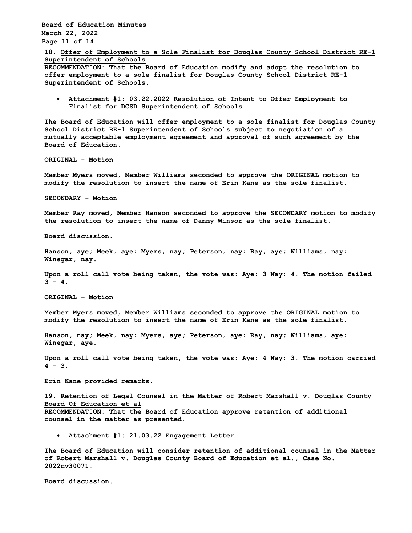**Board of Education Minutes March 22, 2022 Page 11 of 14**

**18. Offer of Employment to a Sole Finalist for Douglas County School District RE-1 Superintendent of Schools**

**RECOMMENDATION: That the Board of Education modify and adopt the resolution to offer employment to a sole finalist for Douglas County School District RE-1 Superintendent of Schools.** 

• **Attachment #1: 03.22.2022 Resolution of Intent to Offer Employment to Finalist for DCSD Superintendent of Schools** 

**The Board of Education will offer employment to a sole finalist for Douglas County School District RE-1 Superintendent of Schools subject to negotiation of a mutually acceptable employment agreement and approval of such agreement by the Board of Education.** 

**ORIGINAL - Motion**

**Member Myers moved, Member Williams seconded to approve the ORIGINAL motion to modify the resolution to insert the name of Erin Kane as the sole finalist.**

**SECONDARY – Motion**

**Member Ray moved, Member Hanson seconded to approve the SECONDARY motion to modify the resolution to insert the name of Danny Winsor as the sole finalist.**

**Board discussion.**

**Hanson, aye; Meek, aye; Myers, nay; Peterson, nay; Ray, aye; Williams, nay; Winegar, nay.** 

**Upon a roll call vote being taken, the vote was: Aye: 3 Nay: 4. The motion failed**   $3 - 4$ .

**ORIGINAL – Motion**

**Member Myers moved, Member Williams seconded to approve the ORIGINAL motion to modify the resolution to insert the name of Erin Kane as the sole finalist.**

**Hanson, nay; Meek, nay; Myers, aye; Peterson, aye; Ray, nay; Williams, aye; Winegar, aye.** 

**Upon a roll call vote being taken, the vote was: Aye: 4 Nay: 3. The motion carried 4 - 3.**

**Erin Kane provided remarks.**

# **19. Retention of Legal Counsel in the Matter of Robert Marshall v. Douglas County Board Of Education et al**

**RECOMMENDATION: That the Board of Education approve retention of additional counsel in the matter as presented.** 

• **Attachment #1: 21.03.22 Engagement Letter** 

**The Board of Education will consider retention of additional counsel in the Matter of Robert Marshall v. Douglas County Board of Education et al., Case No. 2022cv30071.** 

**Board discussion.**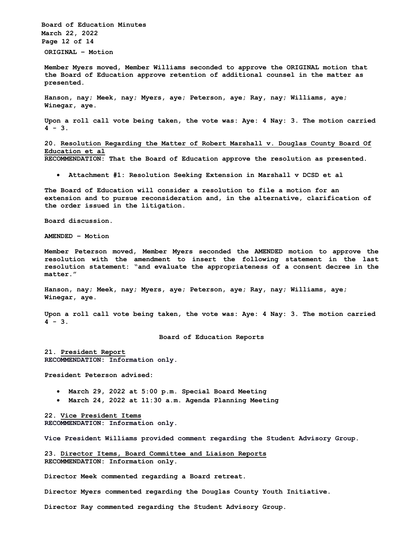**Board of Education Minutes March 22, 2022 Page 12 of 14 ORIGINAL – Motion**

**Member Myers moved, Member Williams seconded to approve the ORIGINAL motion that the Board of Education approve retention of additional counsel in the matter as presented.**

**Hanson, nay; Meek, nay; Myers, aye; Peterson, aye; Ray, nay; Williams, aye; Winegar, aye.** 

**Upon a roll call vote being taken, the vote was: Aye: 4 Nay: 3. The motion carried 4 - 3.**

**20. Resolution Regarding the Matter of Robert Marshall v. Douglas County Board Of Education et al**

**RECOMMENDATION: That the Board of Education approve the resolution as presented.** 

• **Attachment #1: Resolution Seeking Extension in Marshall v DCSD et al** 

**The Board of Education will consider a resolution to file a motion for an extension and to pursue reconsideration and, in the alternative, clarification of the order issued in the litigation.** 

**Board discussion.**

**AMENDED – Motion**

**Member Peterson moved, Member Myers seconded the AMENDED motion to approve the resolution with the amendment to insert the following statement in the last resolution statement: "and evaluate the appropriateness of a consent decree in the matter."**

**Hanson, nay; Meek, nay; Myers, aye; Peterson, aye; Ray, nay; Williams, aye; Winegar, aye.** 

**Upon a roll call vote being taken, the vote was: Aye: 4 Nay: 3. The motion carried 4 - 3.** 

**Board of Education Reports**

**21. President Report RECOMMENDATION: Information only.**

**President Peterson advised:**

- **March 29, 2022 at 5:00 p.m. Special Board Meeting**
- **March 24, 2022 at 11:30 a.m. Agenda Planning Meeting**

**22. Vice President Items RECOMMENDATION: Information only.**

**Vice President Williams provided comment regarding the Student Advisory Group.**

**23. Director Items, Board Committee and Liaison Reports RECOMMENDATION: Information only.** 

**Director Meek commented regarding a Board retreat.**

**Director Myers commented regarding the Douglas County Youth Initiative.**

**Director Ray commented regarding the Student Advisory Group.**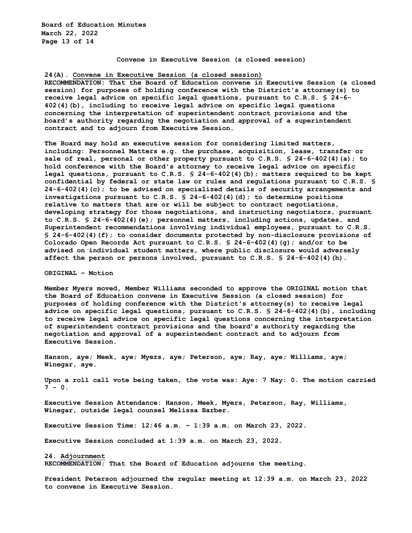**Board of Education Minutes March 22, 2022 Page 13 of 14**

#### **Convene in Executive Session (a closed session)**

### **24(A). Convene in Executive Session (a closed session)**

**RECOMMENDATION: That the Board of Education convene in Executive Session (a closed session) for purposes of holding conference with the District's attorney(s) to receive legal advice on specific legal questions, pursuant to C.R.S. § 24-6- 402(4)(b), including to receive legal advice on specific legal questions concerning the interpretation of superintendent contract provisions and the board's authority regarding the negotiation and approval of a superintendent contract and to adjourn from Executive Session.**

**The Board may hold an executive session for considering limited matters, including: Personnel Matters e.g. the purchase, acquisition, lease, transfer or sale of real, personal or other property pursuant to C.R.S. § 24-6-402(4)(a); to hold conference with the Board's attorney to receive legal advice on specific legal questions, pursuant to C.R.S. § 24-6-402(4)(b); matters required to be kept confidential by federal or state law or rules and regulations pursuant to C.R.S. § 24-6-402(4)(c); to be advised on specialized details of security arrangements and investigations pursuant to C.R.S. § 24-6-402(4)(d); to determine positions relative to matters that are or will be subject to contract negotiations, developing strategy for those negotiations, and instructing negotiators, pursuant to C.R.S. § 24-6-402(4)(e); personnel matters, including actions, updates, and Superintendent recommendations involving individual employees, pursuant to C.R.S. § 24-6-402(4)(f); to consider documents protected by non-disclosure provisions of Colorado Open Records Act pursuant to C.R.S. § 24-6-402(4)(g); and/or to be advised on individual student matters, where public disclosure would adversely affect the person or persons involved, pursuant to C.R.S. § 24-6-402(4)(h).** 

### **ORIGINAL – Motion**

**Member Myers moved, Member Williams seconded to approve the ORIGINAL motion that the Board of Education convene in Executive Session (a closed session) for purposes of holding conference with the District's attorney(s) to receive legal advice on specific legal questions, pursuant to C.R.S. § 24-6-402(4)(b), including to receive legal advice on specific legal questions concerning the interpretation of superintendent contract provisions and the board's authority regarding the negotiation and approval of a superintendent contract and to adjourn from Executive Session.**

**Hanson, aye; Meek, aye; Myers, aye; Peterson, aye; Ray, aye; Williams, aye; Winegar, aye.** 

**Upon a roll call vote being taken, the vote was: Aye: 7 Nay: 0. The motion carried 7 - 0.**

**Executive Session Attendance: Hanson, Meek, Myers, Peterson, Ray, Williams, Winegar, outside legal counsel Melissa Barber.**

**Executive Session Time: 12:46 a.m. – 1:39 a.m. on March 23, 2022.**

**Executive Session concluded at 1:39 a.m. on March 23, 2022.**

**24. Adjournment RECOMMENDATION: That the Board of Education adjourns the meeting.**

**President Peterson adjourned the regular meeting at 12:39 a.m. on March 23, 2022 to convene in Executive Session.**